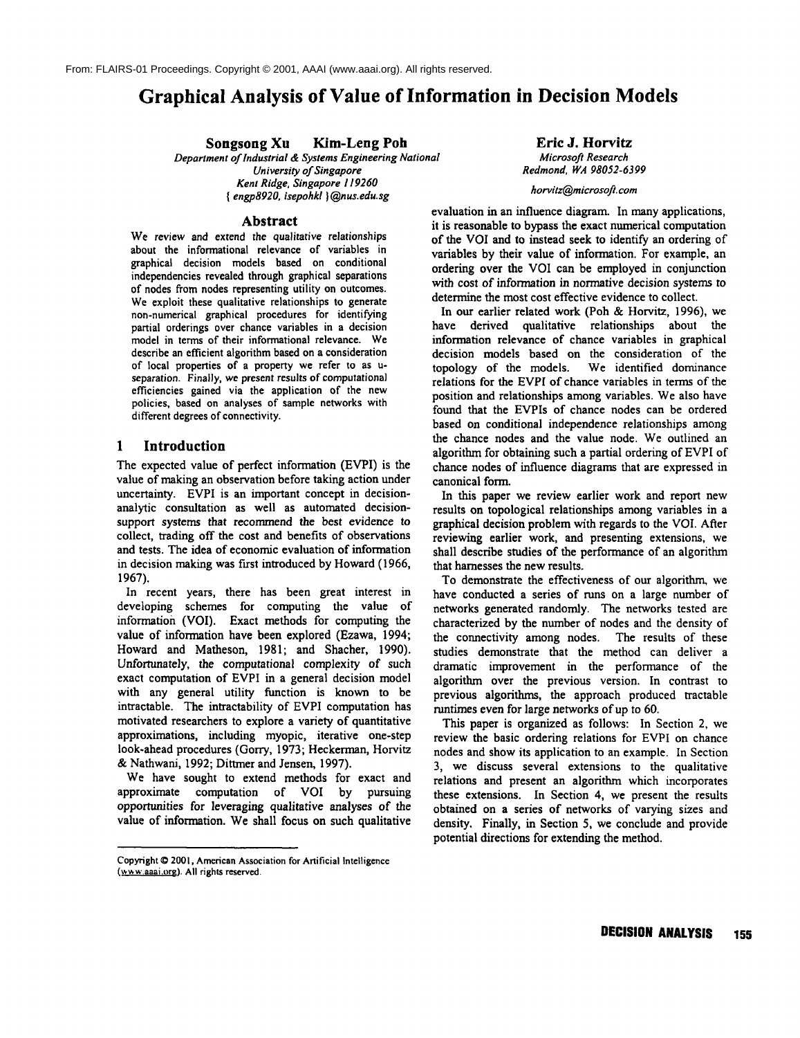# **Graphical Analysis of Value of Information in Decision Models**

**Songsong Xu Kim-Leng Poh**

*Department of lndustrial & Systems Engineering National University of Singapore Kent Ridge, Singapore 119260 { engp8920, isepohkl }@nus.edu.sg*

Eric J. Horvitz *Microsoft Research Redmond, WA 98052-6399*

## *horvitz@microsoft.com*

#### **Abstract**

We review and extend the *qualitative* relationships about the informational relevance of variables in graphical decision models based on conditional independencies revealed through graphical separations of nodes from nodes representing utility on outcomes. We exploit these qualitative relationships to generate non-numerical graphical procedures for identifying partial orderings over chance variables in a decision model in terms of their informational relevance. We describe an efficient algorithm based on a consideration of local properties of a property we refer to as useparation. Finally, *we present results* of computational efficiencies gained via the application of the new policies, based on analyses of sample networks with different degrees of connectivity.

## **1 Introduction**

The expected value of perfect information (EVPI) is the value of making an observation before taking action under uncertainty. EVPI is an important concept in decisionanalytic consultation as well as automated decisionsupport systems that recommend the best evidence to collect, trading off the cost and benefits of observations and tests. The idea of economic evaluation of information in decision making was first introduced by Howard (1966, 1967).

In recent years, there has been great interest in developing schemes for computing the value of information (VOI). Exact methods for computing the value of information have been explored (Ezawa, 1994; Howard and Matheson, 1981; and Shacher, 1990). Unfortunately, the computational complexity of such exact computation of EVPI in a general decision model with any general utility function is known to be intractable. The intractability of EVPI computation has motivated researchers to explore a variety of quantitative approximations, including myopic, iterative one-step look-ahead procedures (Gorry, 1973; Heckerman, Horvitz & Nathwani, 1992; Dittmer and Jensen, 1997).

We have sought to extend methods for exact and approximate computation of VOI by pursuing opportunities for leveraging qualitative analyses of the value of information. We shall focus on such qualitative

evaluation in an influence diagram. In many applications, it is reasonable to bypass the exact numerical computation of the VOI and to instead seek to identify an ordering of variables by their value of information. For example, an ordering over the VOI can be employed in conjunction with cost of information in normative decision systems to determine the most cost effective evidence to collect.

In our earlier related work (Poh & Horvitz, 1996), we have derived qualitative relationships about the information relevance of chance variables in graphical decision models based on the consideration of the topology of the models. We identified dominance relations for the EVPI of chance variables in terms of the position and relationships among variables. We also have found that the EVPIs of chance nodes can be ordered based on conditional independence relationships among the chance nodes and the value node. We outlined an algorithm for obtaining such a partial ordering of EVPI of chance nodes of influence diagrams that are expressed in canonical form.

In this paper we review earlier work and report new results on topological relationships among variables in a graphical decision problem with regards to the VOI. After reviewing earlier work, and presenting extensions, we shall describe studies of the performance of an algorithm that harnesses the new results.

To demonstrate the effectiveness of our algorithm, we have conducted a series of runs on a large number of networks generated randomly. The networks tested are characterized by the number of nodes and the density of the connectivity among nodes. The results of these studies demonstrate that the method can deliver a dramatic improvement in the performance of the algorithm over the previous version. In contrast to previous algorithms, the approach produced tractable runtimes even for large networks of up to 60.

This paper is organized as follows: In Section 2, we review the basic ordering relations for EVPI on chance nodes and show its application to an example. In Section 3, we discuss several extensions to the qualitative relations and present an algorithm which incorporates these extensions. In Section 4, we present the results obtained on a series of networks of varying sizes and density. Finally, in Section 5, we conclude and provide potential directions for extending the method.

Copyright © 2001, American Association for Artificial Intelligence (www.aaai.org). All rights reserved.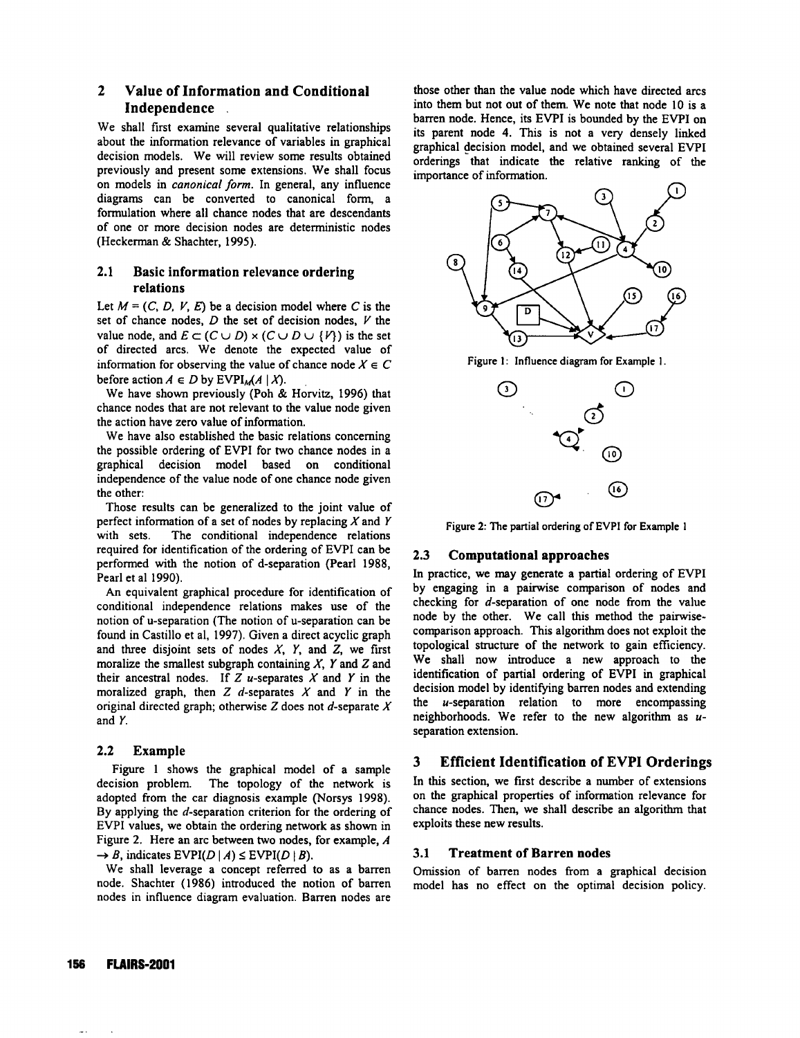## **2 Value of Information and Conditional Independence**

We shall first examine several qualitative relationships about the information relevance of variables in graphical decision models. We will review some results obtained previously and present some extensions. We shall focus on models in *canonical form.* In general, any influence diagrams can be converted to canonical form, a formulation where all chance nodes that are descendants of one or more decision nodes are deterministic nodes (Heckerman & Shachter, 1995).

## 2.1 Basic information relevance **ordering relations**

Let  $M = (C, D, V, E)$  be a decision model where C is the set of chance nodes,  $D$  the set of decision nodes,  $V$  the value node, and  $E \subset (C \cup D) \times (C \cup D \cup \{V\})$  is the set of directed arcs. We denote the expected value of information for observing the value of chance node  $X \in \mathbb{C}$ before action  $A \in D$  by EVPI<sub>M</sub> $(A | X)$ .

We have shown previously (Poh & Horvitz, 1996) that chance nodes that are not relevant to the value node given the action have zero value of information.

We have also established the basic relations concerning the possible ordering of EVPI for two chance nodes in a graphical decision model based on conditional independence of the value node of one chance node given the other:

Those results can bc generalized to the joint value of perfect information of a set of nodes by replacing  $X$  and  $Y$ with sets. The conditional independence relations required for identification of the ordering of EVPI can be performed with the notion of d-separation (Pearl 1988, Pearl et al 1990).

An equivalent graphical procedure for identification of conditional independence relations makes use of the notion of u-separation (The notion of u-separation can be found in Castillo et al, 1997). Given a direct acyclic graph and three disjoint sets of nodes  $X$ ,  $Y$ , and  $Z$ , we first moralize the smallest subgraph containing  $X$ ,  $Y$  and  $Z$  and their ancestral nodes. If  $Z$  u-separates  $X$  and  $Y$  in the moralized graph, then  $Z$  d-separates  $X$  and  $Y$  in the original directed graph; otherwise  $Z$  does not  $d$ -separate  $X$ and Y.

## **2.2** Example

Figure 1 shows the graphical model of a sample decision problem. The topology of the network is adopted from the car diagnosis example (Norsys 1998). By applying the d-separation criterion for the ordering of EVPI values, we obtain the ordering network as shown in Figure 2. Here an arc between two nodes, for example, A  $\rightarrow$  B, indicates EVPI(D | A)  $\leq$  EVPI(D | B).

We shall leverage a concept referred to as a barren node. Shachter (1986) introduced the notion of barren nodes in influence diagram evaluation. Barren nodes are those other than the value node which have directed arcs into them but not out of them. We note that node l0 is a barren node. Hence, its EVPI is bounded by the EVPI on its parent node 4. This is not a very densely linked graphical decision model, and we obtained several EVPI orderings that indicate the relative ranking of the importance of information.



Figure !: Influence diagram for Example I.



Figure 2: The partial ordering of EVPI for Example i

## **2.3 Computational approaches**

In practice, we may generate a partial ordering of EVPI by engaging in a pairwise comparison of nodes and checking for d-separation of one node from the value node by the other. We call this method the pairwisecomparison approach. This algorithm does not exploit the topological structure of the network to gain efficiency. We shall now introduce a new approach to the identification of partial ordering of EVPI in graphical decision model by identifying barren nodes and extending the u-separation relation to more encompassing neighborhoods. We refer to the new algorithm as  $u$ separation extension.

## **3 Efficient Identification of EVPI Orderings**

In this section, we first describe a number of extensions on the graphical properties of information relevance **for** chance nodes. Then, we shall describe an algorithm that exploits these new results.

#### **3.1 Treatment of Barren nodes**

Omission of barren nodes from a graphical decision model has no effect on the optimal decision policy.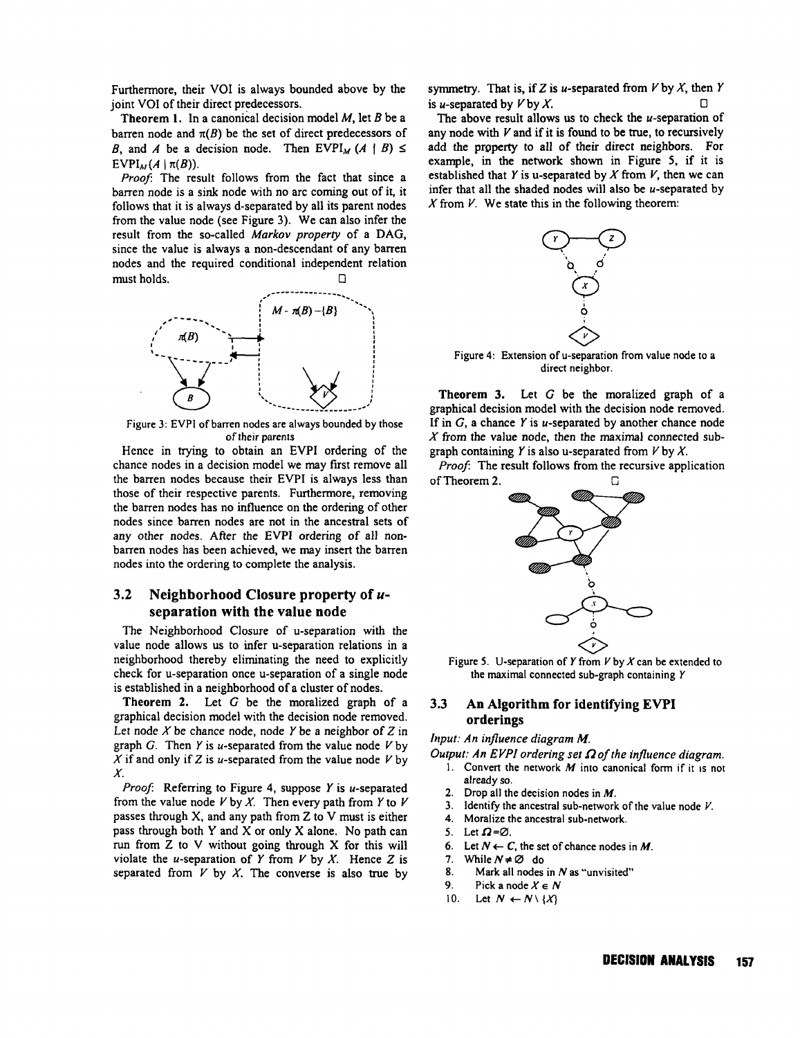Furthermore, their VOI is always bounded above by the joint VOI of their direct predecessors.

**Theorem** 1. In a canonical decision model M, let B be a barren node and  $\pi(B)$  be the set of direct predecessors of B, and A be a decision node. Then EVPI<sub>M</sub>  $(A \mid B) \le$ EVPI<sub>M</sub> $(A | \pi(B))$ .

*Proof'.* The result follows from the fact that since a barren node is a sink node with no arc coming out of it, it follows that it is always d-separated by all its parent nodes from the value node (see Figure 3). We can also infer the result from the so-called *Markov property* of a DAG, since the value is always a non-descendant of any barren nodes and the required conditional independent relation must holds.  $\Box$ 



Figure 3: EVPI of barren nodes are always bounded by those of their parents

Hence in trying to obtain an EVPI ordering of the chance nodes in a decision model we may first remove all the barren nodes because their EVPI is always less than those of their respective parents. Furthermore, removing the barren nodes has no influence on the ordering of other nodes since barren nodes are not in the ancestral sets of any other nodes. After the EVPI ordering of all nonbarren nodes has been achieved, we may insert the barren nodes into the ordering to complete the analysis.

## **3.2 Neighborhood Closure property of useparation with** the value **node**

The Neighborhood Closure of u-separation with the value node allows us to infer u-separation relations in a neighborhood thereby eliminating the need to explicitly check for u-separation once u-separation of a single node is established in a neighborhood of a cluster of nodes.

**Theorem** 2. Let G be the moralized graph of a graphical decision model with the decision node removed. Let node X be chance node, node Y be a neighbor of  $Z$  in graph G. Then Y is u-separated from the value node  $V$  by  $X$  if and only if Z is u-separated from the value node  $V$  by X.

*Proof:* Referring to Figure 4, suppose Y is u-separated from the value node V by X. Then every path from Y to V passes through X, and any path from Z to V must is either pass through both Y and X or only X alone. No path can run from Z to V without going through X for this will violate the *u*-separation of Y from V by X. Hence Z is separated from  $V$  by  $X$ . The converse is also true by

symmetry. That is, if Z is u-separated from  $V$  by  $X$ , then Y is *u*-separated by  $V$  by  $X$ .

The above result allows us to check the *u*-separation of any node with  $V$  and if it is found to be true, to recursively add the property to all of their direct neighbors. For example, in the network shown in Figure 5, if it is established that Y is u-separated by X from V, then we can infer that all the shaded nodes will also be  $u$ -separated by X from  $V$ . We state this in the following theorem:



Figure 4: Extension of u-separation from value node to a direct neighbor.

**Theorem** 3. Let G be the moralized graph of a graphical decision model with the decision node removed. If in  $G$ , a chance Y is u-separated by another chance node  $X$  from the value node, then the maximal connected subgraph containing Y is also u-separated from  $V$  by X.

*Proof'.* The result follows from the recursive application of Theorem 2. G



Figure 5. U-separation of Y from  $V$  by  $X$  can be extended to the maximal connected sub-graph containing Y

## 3.3 An Algorithm for identifying EVPI **orderings**

*Input: An influence diagram M.*

- *Output: An EVPI ordering set 12of the influence diagram.*
	- 1. Convert the network  $M$  into canonical form if it is not already so.
	- 2. Drop all the decision nodes in  $M$ .
	- 3. Identify the ancestral sub-network of the value node  $V$ .
	- 4. Moralize the ancestral sub-network.
	- 5. Let  $\Omega = \emptyset$ .
	- 6. Let  $N \leftarrow C$ , the set of chance nodes in M.
	- 7. While  $N \neq \emptyset$  do
	- 8. Mark all nodes in N as "unvisited"
	- 9. Pick a node  $X \in \mathbb{N}$
	- 10. Let  $N \leftarrow N \setminus \{X\}$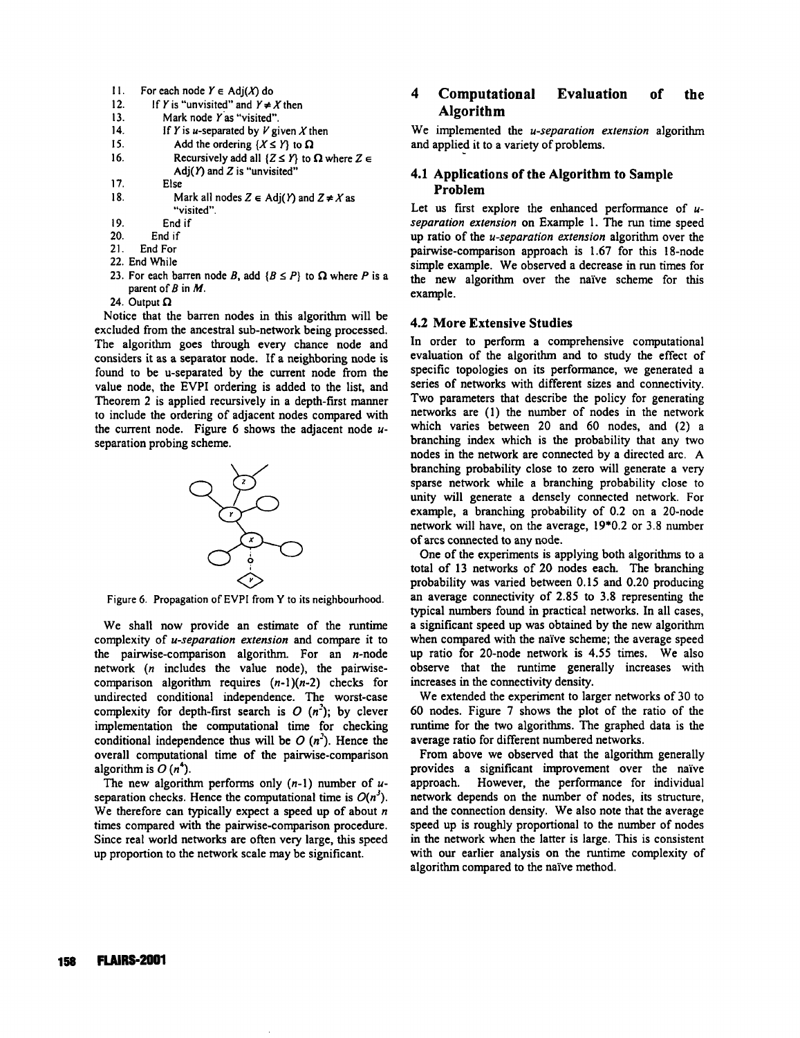- 11. For each node  $Y \in Adj(X)$  do
- 12. If Y is "unvisited" and  $Y \neq X$  then
- 13. Mark node Yas "visited".
- 14. **If Y** is *u*-separated by  $V$  given X then
- 15. Add the ordering  $\{X \leq Y\}$  to  $\Omega$
- 16. Recursively add all  $\{Z \leq Y\}$  to  $\Omega$  where  $Z \in$ Adj $(Y)$  and  $Z$  is "unvisited"
- ] 7. Else
- 18. Mark all nodes  $Z \in Adj(Y)$  and  $Z \neq X$  as
- "visited".
- 19. End if
- End if
- 21. End For
- 22. End While
- 23. For each barren node B, add  $\{B \leq P\}$  to  $\Omega$  where P is a parent of  $B$  in  $M$ .
- 24. Output  $\Omega$

Notice that the barren nodes in this algorithm will be excluded from the ancestral sub-network being processed. The algorithm goes through every chance node and considers it as a separator node. If a neighboring node is found to be u-separated by the current node from the value node, the EVPI ordering is added to the list, and Theorem 2 is applied recursively in a depth-first manner to include the ordering of adjacent nodes compared with the current node. Figure 6 shows the adjacent node  $u$ separation probing scheme.



Figure 6. Propagation of EVPI from Y to its neighbourhood.

We shall now provide an estimate of the runtime complexity of *u-separation extension* and compare it to the pairwise-comparison algorithm. For an  $n$ -node network (n includes the value node), the pairwisecomparison algorithm requires  $(n-1)(n-2)$  checks for undirected conditional independence. The worst-case complexity for depth-first search is  $O(n^2)$ ; by clever implementation the computational time for checking conditional independence thus will be  $O(n^2)$ . Hence the overall computational time of the pairwise-comparison algorithm is  $O(n^4)$ .

The new algorithm performs only  $(n-1)$  number of  $u$ separation checks. Hence the computational time is  $O(n^3)$ . We therefore can typically expect a speed up of about  $n$ times compared with the pairwise-comparison procedure. Since real world networks are often very large, this speed up proportion to the network scale may be significant.

## 4 Computational Evaluation of the Algorithm

We implemented the *u-separation extension* algorithm and applied it to a variety of problems.

## 4.1 **Applications of the Algorithm** to Sample Problem

Let us first explore the enhanced performance of  $u$ *separation extension* on Example 1. The run time speed up ratio of the *u-separation extension* algorithm over the pairwise-comparison approach is 1.67 for this 18-node simple example. We observed a decrease in run times for the new algorithm over the naive scheme for this example.

#### **4.2 More Extensive Studies**

In order to perform a comprehensive computational evaluation of the algorithm and to study the effect of specific topologies on its performance, we generated a series of networks with different sizes and connectivity. Two parameters that describe the policy for generating networks are (1) the number of nodes in the network which varies between 20 and 60 nodes, and (2) a branching index which is the probability that any two nodes in the network are connected by a directed arc. A branching probability close to zero will generate a very sparse network while a branching probability close to unity will generate a densely connected network. For example, a branching probability of 0.2 on a 20-node network will have, on the average, 19"0.2 or 3.8 number of arcs connected to any node.

One of the experiments is applying both algorithms to a total of 13 networks of 20 nodes each. The branching probability was varied between 0.15 and 0.20 producing an average connectivity of 2.85 to 3.8 representing the typical numbers found in practical networks. In all cases, a significant speed up was obtained by the new algorithm when compared with the naïve scheme; the average speed up ratio for 20-node network is 4.55 times. We also observe that the runtime generally increases with increases in the connectivity density.

We extended the experiment to larger networks of 30 to 60 nodes. Figure 7 shows the plot of the ratio of the runtime for the two algorithms. The graphed data is the average ratio for different numbered networks.

From above we observed that the algorithm generally provides a significant improvement over the nai've approach. However, the performance for individual network depends on the number of nodes, its structure, and the connection density. We also note that the average speed up is roughly proportional to the number of nodes in the network when the latter is large. This is consistent with our earlier analysis on the runtime complexity of algorithm compared to the naive method.